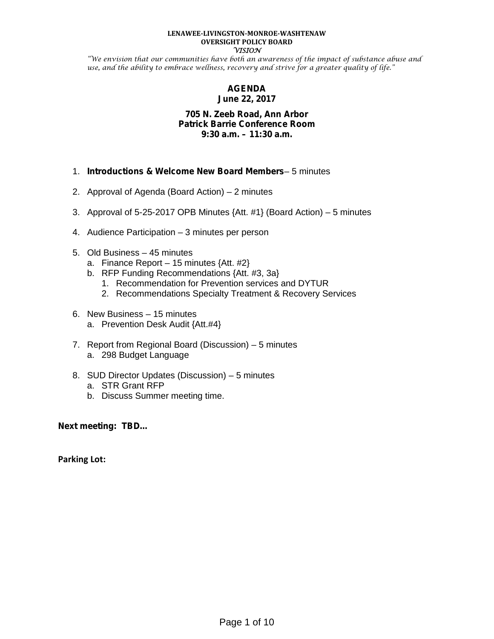#### **LENAWEE-LIVINGSTON-MONROE-WASHTENAW OVERSIGHT POLICY BOARD VISION**

"We envision that our communities have both an awareness of the impact of substance abuse and use, and the ability to embrace wellness, recovery and strive for a greater quality of life."

## **AGENDA June 22, 2017**

## **705 N. Zeeb Road, Ann Arbor Patrick Barrie Conference Room 9:30 a.m. – 11:30 a.m.**

- 1. *Introductions & Welcome New Board Members* 5 minutes
- 2. Approval of Agenda (Board Action) 2 minutes
- 3. Approval of 5-25-2017 OPB Minutes {Att. #1} (Board Action) 5 minutes
- 4. Audience Participation 3 minutes per person
- 5. Old Business 45 minutes
	- a. Finance Report 15 minutes  $\{Att. #2\}$
	- b. RFP Funding Recommendations {Att. #3, 3a}
		- 1. Recommendation for Prevention services and DYTUR
		- 2. Recommendations Specialty Treatment & Recovery Services
- 6. New Business 15 minutes
	- a. Prevention Desk Audit {Att.#4}
- 7. Report from Regional Board (Discussion) 5 minutes a. 298 Budget Language
- 8. SUD Director Updates (Discussion) 5 minutes
	- a. STR Grant RFP
	- b. Discuss Summer meeting time.

**Next meeting: TBD…**

**Parking Lot:**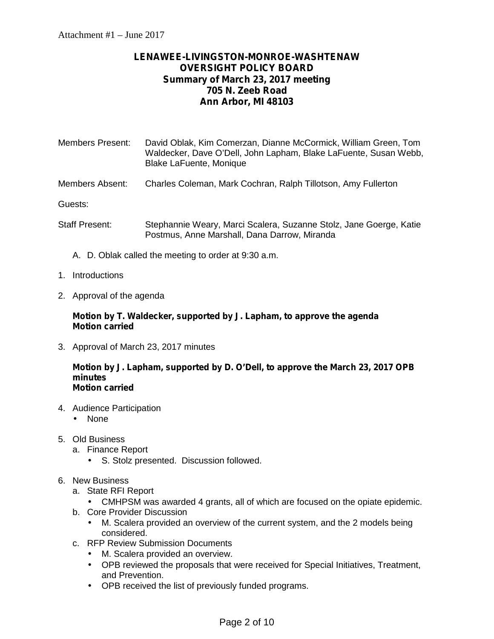# **LENAWEE-LIVINGSTON-MONROE-WASHTENAW OVERSIGHT POLICY BOARD Summary of March 23, 2017 meeting 705 N. Zeeb Road Ann Arbor, MI 48103**

| <b>Members Present:</b> | David Oblak, Kim Comerzan, Dianne McCormick, William Green, Tom<br>Waldecker, Dave O'Dell, John Lapham, Blake LaFuente, Susan Webb,<br><b>Blake LaFuente, Monique</b> |
|-------------------------|-----------------------------------------------------------------------------------------------------------------------------------------------------------------------|
| Members Absent:         | Charles Coleman, Mark Cochran, Ralph Tillotson, Amy Fullerton                                                                                                         |
| Guests:                 |                                                                                                                                                                       |
| <b>Staff Present:</b>   | Stephannie Weary, Marci Scalera, Suzanne Stolz, Jane Goerge, Katie<br>Postmus, Anne Marshall, Dana Darrow, Miranda                                                    |

- A. D. Oblak called the meeting to order at 9:30 a.m.
- 1. Introductions
- 2. Approval of the agenda

## **Motion by T. Waldecker, supported by J. Lapham, to approve the agenda Motion carried**

3. Approval of March 23, 2017 minutes

#### **Motion by J. Lapham, supported by D. O'Dell, to approve the March 23, 2017 OPB minutes Motion carried**

- 4. Audience Participation None
- 5. Old Business
	- a. Finance Report
		- S. Stolz presented. Discussion followed.
- 6. New Business
	- a. State RFI Report
		- CMHPSM was awarded 4 grants, all of which are focused on the opiate epidemic.
	- b. Core Provider Discussion
		- M. Scalera provided an overview of the current system, and the 2 models being considered.
	- c. RFP Review Submission Documents
		- M. Scalera provided an overview.
		- OPB reviewed the proposals that were received for Special Initiatives, Treatment, and Prevention.
		- OPB received the list of previously funded programs.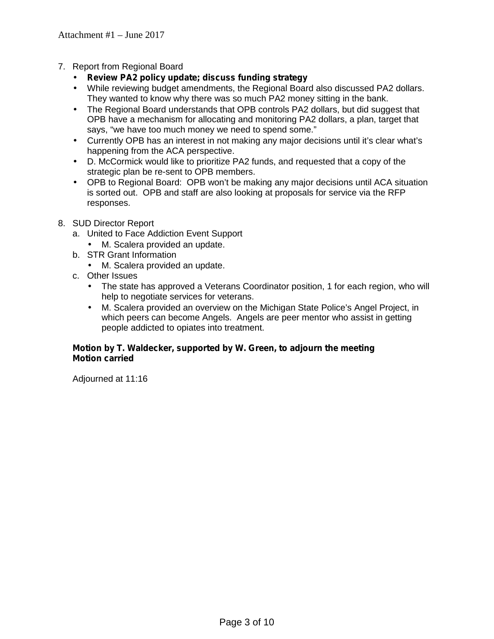- 7. Report from Regional Board
	- **Review PA2 policy update; discuss funding strategy**
	- While reviewing budget amendments, the Regional Board also discussed PA2 dollars. They wanted to know why there was so much PA2 money sitting in the bank.
	- The Regional Board understands that OPB controls PA2 dollars, but did suggest that OPB have a mechanism for allocating and monitoring PA2 dollars, a plan, target that says, "we have too much money we need to spend some."
	- Currently OPB has an interest in not making any major decisions until it's clear what's happening from the ACA perspective.
	- D. McCormick would like to prioritize PA2 funds, and requested that a copy of the strategic plan be re-sent to OPB members.
	- OPB to Regional Board: OPB won't be making any major decisions until ACA situation is sorted out. OPB and staff are also looking at proposals for service via the RFP responses.
- 8. SUD Director Report
	- a. United to Face Addiction Event Support
		- M. Scalera provided an update.
	- b. STR Grant Information
		- M. Scalera provided an update.
	- c. Other Issues
		- The state has approved a Veterans Coordinator position, 1 for each region, who will help to negotiate services for veterans.
		- M. Scalera provided an overview on the Michigan State Police's Angel Project, in which peers can become Angels. Angels are peer mentor who assist in getting people addicted to opiates into treatment.

## **Motion by T. Waldecker, supported by W. Green, to adjourn the meeting Motion carried**

Adjourned at 11:16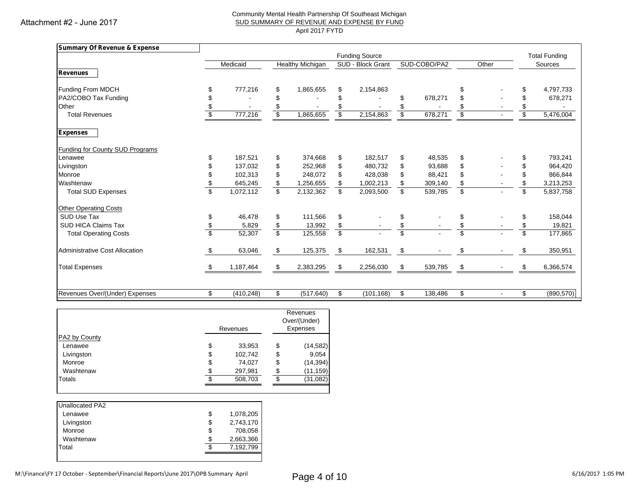Attachment #2 - June 2017

#### Community Mental Health Partnership Of Southeast Michigan SUD SUMMARY OF REVENUE AND EXPENSE BY FUND April 2017 FYTD

| Summary Of Revenue & Expense           |     |            |                           |                  |                         |            |                         |         |                         |                          |                         |            |
|----------------------------------------|-----|------------|---------------------------|------------------|-------------------------|------------|-------------------------|---------|-------------------------|--------------------------|-------------------------|------------|
|                                        |     |            |                           |                  | <b>Funding Source</b>   |            |                         |         |                         |                          | <b>Total Funding</b>    |            |
|                                        |     | Medicaid   |                           | Healthy Michigan | SUD - Block Grant       |            | SUD-COBO/PA2            |         | Other                   |                          | Sources                 |            |
| <b>Revenues</b>                        |     |            |                           |                  |                         |            |                         |         |                         |                          |                         |            |
| Funding From MDCH                      |     | 777,216    | \$                        | 1,865,655        | \$                      | 2,154,863  |                         |         | \$                      |                          |                         | 4,797,733  |
| PA2/COBO Tax Funding                   |     |            | \$                        |                  |                         |            | \$                      | 678,271 | \$                      |                          |                         | 678,271    |
| Other                                  |     |            | \$                        |                  |                         |            |                         |         | \$                      |                          |                         |            |
| <b>Total Revenues</b>                  |     | 777,216    | $\boldsymbol{\mathsf{s}}$ | 1,865,655        | \$                      | 2,154,863  | \$                      | 678,271 | \$                      |                          | \$                      | 5,476,004  |
| <b>Expenses</b>                        |     |            |                           |                  |                         |            |                         |         |                         |                          |                         |            |
| <b>Funding for County SUD Programs</b> |     |            |                           |                  |                         |            |                         |         |                         |                          |                         |            |
| Lenawee                                |     | 187,521    | \$                        | 374,668          | \$                      | 182,517    | \$                      | 48,535  | \$                      |                          | \$.                     | 793,241    |
| Livingston                             |     | 137,032    | \$                        | 252,968          | \$                      | 480,732    | \$                      | 93,688  | \$                      |                          | \$                      | 964,420    |
| Monroe                                 |     | 102,313    | \$                        | 248,072          | \$                      | 428,038    | \$                      | 88,421  | \$                      |                          | \$                      | 866,844    |
| Washtenaw                              |     | 645,245    | \$                        | 1,256,655        | \$                      | 1,002,213  | \$                      | 309,140 | \$                      |                          | \$                      | 3,213,253  |
| <b>Total SUD Expenses</b>              | \$. | 1,072,112  | $\overline{\mathbb{S}}$   | 2,132,362        | \$                      | 2,093,500  | $\overline{\mathbf{s}}$ | 539,785 | $\overline{\mathbf{s}}$ |                          | $\overline{\mathbb{S}}$ | 5,837,758  |
| <b>Other Operating Costs</b>           |     |            |                           |                  |                         |            |                         |         |                         |                          |                         |            |
| SUD Use Tax                            |     | 46.478     | \$                        | 111,566          | \$                      |            | \$                      |         | \$                      |                          | \$                      | 158,044    |
| <b>SUD HICA Claims Tax</b>             |     | 5,829      | \$                        | 13,992           | \$                      |            | \$                      |         | \$                      |                          | \$                      | 19,821     |
| <b>Total Operating Costs</b>           |     | 52,307     | $\overline{\mathbb{S}}$   | 125,558          | $\overline{\mathsf{s}}$ |            | S                       |         | \$                      |                          | $\overline{\mathbf{s}}$ | 177,865    |
| <b>Administrative Cost Allocation</b>  | \$  | 63,046     | \$                        | 125,375          | \$                      | 162,531    | \$                      |         | \$                      |                          |                         | 350,951    |
| <b>Total Expenses</b>                  |     | 1,187,464  | \$                        | 2,383,295        | \$                      | 2,256,030  | \$                      | 539,785 | \$                      |                          | \$                      | 6,366,574  |
|                                        |     |            |                           |                  |                         |            |                         |         |                         |                          |                         |            |
| Revenues Over/(Under) Expenses         | \$  | (410, 248) | \$                        | (517, 640)       | \$                      | (101, 168) | \$                      | 138,486 | \$                      | $\overline{\phantom{a}}$ | \$                      | (890, 570) |

|               |     | Revenues |     | Revenues<br>Over/(Under)<br>Expenses |
|---------------|-----|----------|-----|--------------------------------------|
| PA2 by County |     |          |     |                                      |
| Lenawee       | \$  | 33,953   | \$  | (14, 582)                            |
| Livingston    | \$  | 102,742  | \$  | 9,054                                |
| Monroe        | \$  | 74,027   | \$  | (14, 394)                            |
| Washtenaw     | S   | 297,981  | \$  | (11, 159)                            |
| Totals        | \$. | 508,703  | \$. | (31, 082)                            |

| Unallocated PA2 |    |           |
|-----------------|----|-----------|
| Lenawee         | \$ | 1,078,205 |
| Livingston      | \$ | 2,743,170 |
| Monroe          | \$ | 708,058   |
| Washtenaw       | S  | 2,663,366 |
| Total           | S  | 7,192,799 |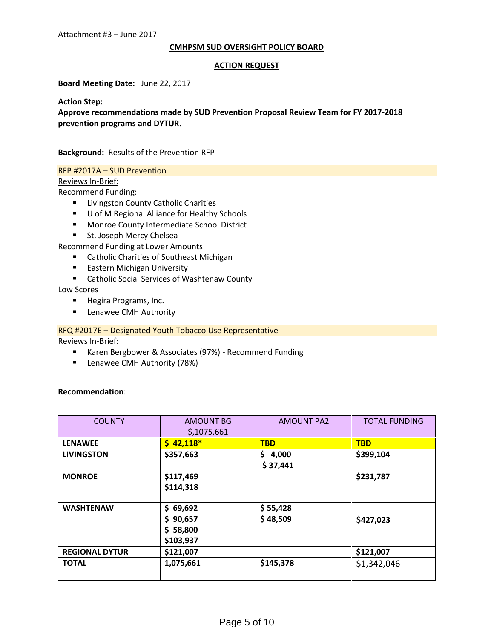#### **CMHPSM SUD OVERSIGHT POLICY BOARD**

#### **ACTION REQUEST**

**Board Meeting Date:** June 22, 2017

**Action Step:**

**Approve recommendations made by SUD Prevention Proposal Review Team for FY 2017-2018 prevention programs and DYTUR.**

**Background:** Results of the Prevention RFP

### RFP #2017A – SUD Prevention

### Reviews In-Brief:

Recommend Funding:

- **E** Livingston County Catholic Charities
- U of M Regional Alliance for Healthy Schools
- **Monroe County Intermediate School District**
- **St. Joseph Mercy Chelsea**

Recommend Funding at Lower Amounts

- **E** Catholic Charities of Southeast Michigan
- **Eastern Michigan University**
- **EXEC** Catholic Social Services of Washtenaw County

Low Scores

- **Hegira Programs, Inc.**
- **E** Lenawee CMH Authority

RFQ #2017E – Designated Youth Tobacco Use Representative

Reviews In-Brief:

- Karen Bergbower & Associates (97%) Recommend Funding
- **E** Lenawee CMH Authority (78%)

#### **Recommendation**:

| <b>COUNTY</b>         | <b>AMOUNT BG</b><br>\$,1075,661               | <b>AMOUNT PA2</b>        | <b>TOTAL FUNDING</b> |
|-----------------------|-----------------------------------------------|--------------------------|----------------------|
| <b>LENAWEE</b>        | $$42,118*$                                    | <b>TBD</b>               | <b>TBD</b>           |
| <b>LIVINGSTON</b>     | \$357,663                                     | 4,000<br>\$.<br>\$37,441 | \$399,104            |
| <b>MONROE</b>         | \$117,469<br>\$114,318                        |                          | \$231,787            |
| <b>WASHTENAW</b>      | \$69,692<br>\$90,657<br>\$58,800<br>\$103,937 | \$55,428<br>\$48,509     | \$427,023            |
| <b>REGIONAL DYTUR</b> | \$121,007                                     |                          | \$121,007            |
| <b>TOTAL</b>          | 1,075,661                                     | \$145,378                | \$1,342,046          |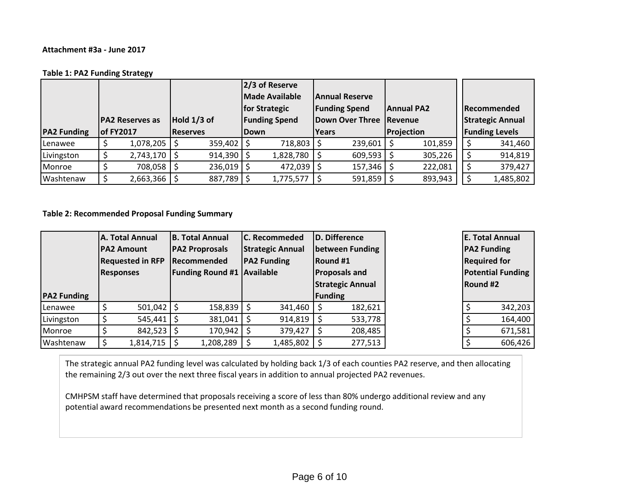#### **Table 1: PA2 Funding Strategy**

|                    |                                 |                  | 2/3 of Reserve  |                      |             |                         |                       |                      |            |                         |                       |                    |
|--------------------|---------------------------------|------------------|-----------------|----------------------|-------------|-------------------------|-----------------------|----------------------|------------|-------------------------|-----------------------|--------------------|
|                    |                                 |                  |                 |                      |             | <b>Made Available</b>   | <b>Annual Reserve</b> |                      |            |                         |                       |                    |
|                    |                                 |                  |                 |                      |             | for Strategic           |                       | <b>Funding Spend</b> |            | <b>Annual PA2</b>       |                       | <b>Recommended</b> |
|                    | Hold 1/3 of<br>IPA2 Reserves as |                  |                 | <b>Funding Spend</b> |             | Down Over Three Revenue |                       |                      |            | <b>Strategic Annual</b> |                       |                    |
| <b>PA2 Funding</b> | <b>of FY2017</b>                |                  | <b>Reserves</b> |                      | <b>Down</b> |                         | <b>Years</b>          |                      | Projection |                         | <b>Funding Levels</b> |                    |
| <b>Lenawee</b>     |                                 | 1,078,205        |                 | 359,402              |             | 718,803                 |                       | 239,601              |            | 101,859                 |                       | 341,460            |
| Livingston         |                                 | $2,743,170$   \$ |                 | 914,390              |             | 1,828,780               |                       | 609,593              |            | 305,226                 |                       | 914,819            |
| Monroe             |                                 | 708,058 \$       |                 | 236,019              |             | 472,039                 |                       | 157,346              |            | 222,081                 |                       | 379,427            |
| Washtenaw          |                                 | $2,663,366$   \$ |                 | 887,789              |             | 1,775,577               |                       | 591,859              |            | 893,943                 |                       | 1,485,802          |

**Table 2: Recommended Proposal Funding Summary** 

|                    | A. Total Annual         |                    |                       | <b>B. Total Annual</b>            |  | <b>C.</b> Recommeded    |                      | D. Difference   |                         | <b>E. Total Annual</b>   |          |  |
|--------------------|-------------------------|--------------------|-----------------------|-----------------------------------|--|-------------------------|----------------------|-----------------|-------------------------|--------------------------|----------|--|
|                    |                         | <b>IPA2 Amount</b> | <b>PA2 Proprosals</b> |                                   |  | <b>Strategic Annual</b> |                      | between Funding |                         | <b>PA2 Funding</b>       |          |  |
|                    | <b>Requested in RFP</b> |                    | Recommended           |                                   |  | <b>PA2 Funding</b>      |                      | Round #1        | <b>Required for</b>     |                          |          |  |
|                    |                         | <b>Responses</b>   |                       | <b>Funding Round #1 Available</b> |  |                         | <b>Proposals and</b> |                 |                         | <b>Potential Funding</b> |          |  |
|                    |                         |                    |                       |                                   |  |                         |                      |                 | <b>Strategic Annual</b> |                          | Round #2 |  |
| <b>PA2 Funding</b> |                         |                    |                       |                                   |  |                         |                      | <b>Funding</b>  |                         |                          |          |  |
| Lenawee            |                         | $501,042$   \$     |                       | $158,839$   \$                    |  | 341,460                 |                      | 182,621         |                         | 342,203                  |          |  |
| Livingston         |                         | 545,441            |                       | 381,041                           |  | 914,819                 |                      | 533,778         |                         | 164,400                  |          |  |
| Monroe             |                         | $842,523$ \$       |                       | $170,942$   \$                    |  | 379,427                 |                      | 208,485         |                         | 671,581                  |          |  |
| Washtenaw          |                         | 1,814,715          |                       | 1,208,289                         |  | 1,485,802               |                      | 277,513         |                         | 606,426                  |          |  |

The strategic annual PA2 funding level was calculated by holding back 1/3 of each counties PA2 reserve, and then allocating the remaining 2/3 out over the next three fiscal years in addition to annual projected PA2 revenues.

CMHPSM staff have determined that proposals receiving a score of less than 80% undergo additional review and any potential award recommendations be presented next month as a second funding round.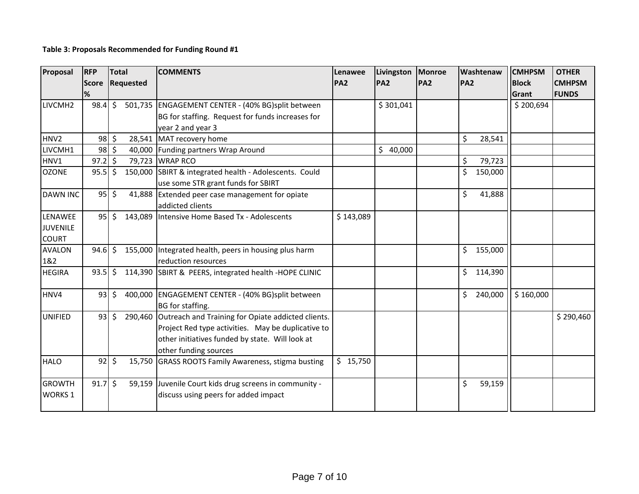## **Table 3: Proposals Recommended for Funding Round #1**

| Proposal         | <b>RFP</b><br><b>Score</b> | <b>Total</b><br>Requested |         | <b>COMMENTS</b>                                        | Lenawee<br><b>PA2</b> | Livingston<br><b>PA2</b> | <b>Monroe</b><br>Washtenaw<br><b>PA2</b><br><b>PA2</b> |     |         | <b>CMHPSM</b><br><b>Block</b> | <b>OTHER</b><br><b>CMHPSM</b> |
|------------------|----------------------------|---------------------------|---------|--------------------------------------------------------|-----------------------|--------------------------|--------------------------------------------------------|-----|---------|-------------------------------|-------------------------------|
|                  | %                          |                           |         |                                                        |                       |                          |                                                        |     |         | Grant                         | <b>FUNDS</b>                  |
| LIVCMH2          | 98.4                       | $\mathsf{S}$              |         | 501,735 ENGAGEMENT CENTER - (40% BG)split between      |                       | \$301,041                |                                                        |     |         | \$200,694                     |                               |
|                  |                            |                           |         | BG for staffing. Request for funds increases for       |                       |                          |                                                        |     |         |                               |                               |
|                  |                            |                           |         | year 2 and year 3                                      |                       |                          |                                                        |     |         |                               |                               |
| HNV <sub>2</sub> | 98                         | \$                        | 28,541  | MAT recovery home                                      |                       |                          |                                                        | \$  | 28,541  |                               |                               |
| LIVCMH1          | $98 \,$ \$                 |                           | 40,000  | Funding partners Wrap Around                           |                       | $\zeta$<br>40,000        |                                                        |     |         |                               |                               |
| HNV1             | 97.2                       | $\zeta$                   | 79,723  | <b>WRAP RCO</b>                                        |                       |                          |                                                        | \$  | 79,723  |                               |                               |
| <b>OZONE</b>     | $95.5$ \$                  |                           |         | 150,000 SBIRT & integrated health - Adolescents. Could |                       |                          |                                                        | Ś.  | 150,000 |                               |                               |
|                  |                            |                           |         | use some STR grant funds for SBIRT                     |                       |                          |                                                        |     |         |                               |                               |
| <b>DAWN INC</b>  | 95                         | $\mathsf{\dot{S}}$        | 41,888  | Extended peer case management for opiate               |                       |                          |                                                        | \$  | 41,888  |                               |                               |
|                  |                            |                           |         | addicted clients                                       |                       |                          |                                                        |     |         |                               |                               |
| LENAWEE          | 95                         | $\zeta$                   |         | 143,089 Intensive Home Based Tx - Adolescents          | \$143,089             |                          |                                                        |     |         |                               |                               |
| <b>JUVENILE</b>  |                            |                           |         |                                                        |                       |                          |                                                        |     |         |                               |                               |
| <b>COURT</b>     |                            |                           |         |                                                        |                       |                          |                                                        |     |         |                               |                               |
| <b>AVALON</b>    | $94.6$ \$                  |                           |         | 155,000 Integrated health, peers in housing plus harm  |                       |                          |                                                        | \$  | 155,000 |                               |                               |
| 1&2              |                            |                           |         | reduction resources                                    |                       |                          |                                                        |     |         |                               |                               |
| <b>HEGIRA</b>    | 93.5                       | $\zeta$                   |         | 114,390 SBIRT & PEERS, integrated health -HOPE CLINIC  |                       |                          |                                                        | \$  | 114,390 |                               |                               |
| HNV4             | 93                         | \$                        |         | 400,000 ENGAGEMENT CENTER - (40% BG)split between      |                       |                          |                                                        | \$. | 240,000 | \$160,000                     |                               |
|                  |                            |                           |         | BG for staffing.                                       |                       |                          |                                                        |     |         |                               |                               |
| <b>UNIFIED</b>   | 93                         | $\zeta$                   | 290,460 | Outreach and Training for Opiate addicted clients.     |                       |                          |                                                        |     |         |                               | \$290,460                     |
|                  |                            |                           |         | Project Red type activities. May be duplicative to     |                       |                          |                                                        |     |         |                               |                               |
|                  |                            |                           |         | other initiatives funded by state. Will look at        |                       |                          |                                                        |     |         |                               |                               |
|                  |                            |                           |         | other funding sources                                  |                       |                          |                                                        |     |         |                               |                               |
| <b>HALO</b>      | 92                         | \$                        | 15,750  | <b>GRASS ROOTS Family Awareness, stigma busting</b>    | \$15,750              |                          |                                                        |     |         |                               |                               |
| <b>GROWTH</b>    | $91.7\frac{1}{5}$          |                           |         | 59,159 Juvenile Court kids drug screens in community - |                       |                          |                                                        | \$  | 59,159  |                               |                               |
| <b>WORKS1</b>    |                            |                           |         | discuss using peers for added impact                   |                       |                          |                                                        |     |         |                               |                               |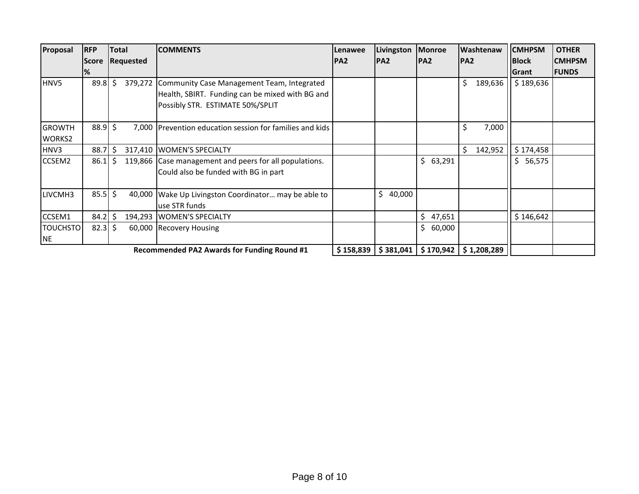| Proposal                       | <b>RFP</b>   | Total     |         | <b>COMMENTS</b>                                                                                                                           | Lenawee   | Livingston   | Monroe       | Washtenaw               | <b>CMHPSM</b> | <b>OTHER</b>  |
|--------------------------------|--------------|-----------|---------|-------------------------------------------------------------------------------------------------------------------------------------------|-----------|--------------|--------------|-------------------------|---------------|---------------|
|                                | <b>Score</b> | Requested |         | PA <sub>2</sub>                                                                                                                           |           | <b>PA2</b>   | PA2          | <b>PA2</b>              | <b>Block</b>  | <b>CMHPSM</b> |
|                                | %            |           |         |                                                                                                                                           |           |              |              |                         | Grant         | <b>IFUNDS</b> |
| HNV <sub>5</sub>               | 89.8         | Š.        |         | 379,272 Community Case Management Team, Integrated<br>Health, SBIRT. Funding can be mixed with BG and<br>Possibly STR. ESTIMATE 50%/SPLIT |           |              |              | \$<br>189,636           | \$189,636     |               |
| <b>GROWTH</b><br><b>WORKS2</b> | $88.9$ \$    |           |         | 7,000 Prevention education session for families and kids                                                                                  |           |              |              | Ś<br>7,000              |               |               |
| HNV3                           | 88.7         |           |         | 317,410 WOMEN'S SPECIALTY                                                                                                                 |           |              |              | 142,952<br>Ś            | \$174,458     |               |
| CCSEM2                         | 86.1         |           |         | 119,866 Case management and peers for all populations.<br>Could also be funded with BG in part                                            |           |              | \$<br>63,291 |                         | \$<br>56,575  |               |
| LIVCMH3                        | $85.5$ \$    |           |         | 40,000 Wake Up Livingston Coordinator may be able to<br>use STR funds                                                                     |           | \$<br>40,000 |              |                         |               |               |
| CCSEM1                         | 84.2         |           | 194,293 | <b>WOMEN'S SPECIALTY</b>                                                                                                                  |           |              | Š.<br>47,651 |                         | \$146,642     |               |
| <b>TOUCHSTO</b><br><b>NE</b>   | 82.3         | S         |         | 60,000 Recovery Housing                                                                                                                   |           |              | \$<br>60,000 |                         |               |               |
|                                |              |           |         | <b>Recommended PA2 Awards for Funding Round #1</b>                                                                                        | \$158,839 | \$381,041    |              | $$170,942$ $$1,208,289$ |               |               |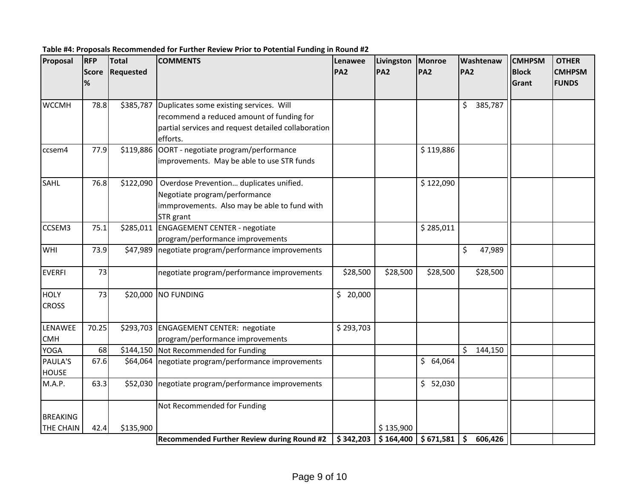| Proposal         | RFP          | <b>Total</b><br><b>COMMENTS</b> |                                                     | Lenawee    | Livingston | Monroe       | Washtenaw                      | <b>CMHPSM</b> | <b>OTHER</b>  |
|------------------|--------------|---------------------------------|-----------------------------------------------------|------------|------------|--------------|--------------------------------|---------------|---------------|
|                  | <b>Score</b> | <b>Requested</b>                |                                                     | <b>PA2</b> | <b>PA2</b> | <b>PA2</b>   | <b>PA2</b>                     | <b>Block</b>  | <b>CMHPSM</b> |
|                  | $\%$         |                                 |                                                     |            |            |              |                                | Grant         | <b>FUNDS</b>  |
|                  |              |                                 |                                                     |            |            |              |                                |               |               |
| <b>WCCMH</b>     | 78.8         | \$385,787                       | Duplicates some existing services. Will             |            |            |              | \$<br>385,787                  |               |               |
|                  |              |                                 | recommend a reduced amount of funding for           |            |            |              |                                |               |               |
|                  |              |                                 | partial services and request detailed collaboration |            |            |              |                                |               |               |
|                  |              |                                 | efforts.                                            |            |            |              |                                |               |               |
| ccsem4           | 77.9         | \$119,886                       | OORT - negotiate program/performance                |            |            | \$119,886    |                                |               |               |
|                  |              |                                 | improvements. May be able to use STR funds          |            |            |              |                                |               |               |
| SAHL             | 76.8         | \$122,090                       | Overdose Prevention duplicates unified.             |            |            | \$122,090    |                                |               |               |
|                  |              |                                 | Negotiate program/performance                       |            |            |              |                                |               |               |
|                  |              |                                 | immprovements. Also may be able to fund with        |            |            |              |                                |               |               |
|                  |              |                                 | STR grant                                           |            |            |              |                                |               |               |
| CCSEM3           | 75.1         | \$285,011                       | <b>ENGAGEMENT CENTER - negotiate</b>                |            |            | \$285,011    |                                |               |               |
|                  |              |                                 | program/performance improvements                    |            |            |              |                                |               |               |
| WHI              | 73.9         | \$47,989                        | negotiate program/performance improvements          |            |            |              | \$<br>47,989                   |               |               |
| <b>EVERFI</b>    | 73           |                                 | negotiate program/performance improvements          | \$28,500   | \$28,500   | \$28,500     | \$28,500                       |               |               |
| <b>HOLY</b>      | 73           |                                 | \$20,000 NO FUNDING                                 | \$20,000   |            |              |                                |               |               |
| <b>CROSS</b>     |              |                                 |                                                     |            |            |              |                                |               |               |
|                  |              |                                 |                                                     |            |            |              |                                |               |               |
| LENAWEE          | 70.25        | \$293,703                       | <b>ENGAGEMENT CENTER: negotiate</b>                 | \$293,703  |            |              |                                |               |               |
| <b>CMH</b>       |              |                                 | program/performance improvements                    |            |            |              |                                |               |               |
| <b>YOGA</b>      | 68           | \$144,150                       | Not Recommended for Funding                         |            |            |              | \$<br>144,150                  |               |               |
| <b>PAULA'S</b>   | 67.6         | \$64,064                        | negotiate program/performance improvements          |            |            | \$<br>64,064 |                                |               |               |
| <b>HOUSE</b>     |              |                                 |                                                     |            |            |              |                                |               |               |
| M.A.P.           | 63.3         | \$52,030                        | negotiate program/performance improvements          |            |            | \$ 52,030    |                                |               |               |
|                  |              |                                 | Not Recommended for Funding                         |            |            |              |                                |               |               |
| <b>BREAKING</b>  |              |                                 |                                                     |            |            |              |                                |               |               |
| <b>THE CHAIN</b> | 42.4         | \$135,900                       |                                                     |            | \$135,900  |              |                                |               |               |
|                  |              |                                 | <b>Recommended Further Review during Round #2</b>   | \$342,203  | \$164,400  | \$671,581    | $\ddot{\bm{\zeta}}$<br>606,426 |               |               |

**Table #4: Proposals Recommended for Further Review Prior to Potential Funding in Round #2**